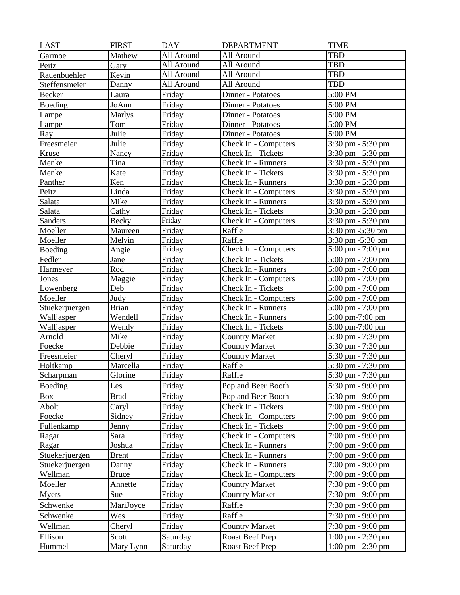| <b>LAST</b>    | <b>FIRST</b> | <b>DAY</b> | <b>DEPARTMENT</b>           | <b>TIME</b>                         |
|----------------|--------------|------------|-----------------------------|-------------------------------------|
| Garmoe         | Mathew       | All Around | All Around                  | <b>TBD</b>                          |
| Peitz          | Gary         | All Around | All Around                  | <b>TBD</b>                          |
| Rauenbuehler   | Kevin        | All Around | All Around                  | <b>TBD</b>                          |
| Steffensmeier  | Danny        | All Around | All Around                  | <b>TBD</b>                          |
| Becker         | Laura        | Friday     | Dinner - Potatoes           | 5:00 PM                             |
| Boeding        | JoAnn        | Friday     | Dinner - Potatoes           | 5:00 PM                             |
| Lampe          | Marlys       | Friday     | Dinner - Potatoes           | 5:00 PM                             |
| Lampe          | Tom          | Friday     | Dinner - Potatoes           | 5:00 PM                             |
| Ray            | Julie        | Friday     | Dinner - Potatoes           | 5:00 PM                             |
| Freesmeier     | Julie        | Friday     | Check In - Computers        | $3:30 \text{ pm} - 5:30 \text{ pm}$ |
| Kruse          | Nancy        | Friday     | Check In - Tickets          | $3:30 \text{ pm} - 5:30 \text{ pm}$ |
| Menke          | Tina         | Friday     | Check In - Runners          | 3:30 pm - 5:30 pm                   |
| Menke          | Kate         | Friday     | Check In - Tickets          | 3:30 pm - 5:30 pm                   |
| Panther        | Ken          | Friday     | Check In - Runners          | $3:30$ pm $-5:30$ pm                |
| Peitz          | Linda        | Friday     | Check In - Computers        | 3:30 pm - 5:30 pm                   |
| Salata         | Mike         | Friday     | Check In - Runners          | 3:30 pm - 5:30 pm                   |
| Salata         | Cathy        | Friday     | Check In - Tickets          | 3:30 pm - 5:30 pm                   |
| Sanders        | Becky        | Friday     | Check In - Computers        | $3:30 \text{ pm} - 5:30 \text{ pm}$ |
| Moeller        | Maureen      | Friday     | Raffle                      | 3:30 pm -5:30 pm                    |
| Moeller        | Melvin       | Friday     | Raffle                      | 3:30 pm -5:30 pm                    |
| Boeding        | Angie        | Friday     | Check In - Computers        | $5:00 \text{ pm} - 7:00 \text{ pm}$ |
| Fedler         | Jane         | Friday     | Check In - Tickets          | 5:00 pm - 7:00 pm                   |
| Harmeyer       | Rod          | Friday     | Check In - Runners          | $5:00 \text{ pm} - 7:00 \text{ pm}$ |
| Jones          | Maggie       | Friday     | Check In - Computers        | 5:00 pm - 7:00 pm                   |
| Lowenberg      | Deb          | Friday     | Check In - Tickets          | $5:00 \text{ pm} - 7:00 \text{ pm}$ |
| Moeller        | Judy         | Friday     | <b>Check In - Computers</b> | 5:00 pm - 7:00 pm                   |
| Stuekerjuergen | <b>Brian</b> | Friday     | Check In - Runners          | 5:00 pm - 7:00 pm                   |
| Walljasper     | Wendell      | Friday     | Check In - Runners          | $5:00 \text{ pm}-7:00 \text{ pm}$   |
| Walljasper     | Wendy        | Friday     | Check In - Tickets          | 5:00 pm-7:00 pm                     |
| Arnold         | Mike         | Friday     | <b>Country Market</b>       | 5:30 pm - 7:30 pm                   |
| Foecke         | Debbie       | Friday     | <b>Country Market</b>       | 5:30 pm - 7:30 pm                   |
| Freesmeier     | Cheryl       | Friday     | <b>Country Market</b>       | 5:30 pm - 7:30 pm                   |
| Holtkamp       | Marcella     | Friday     | Raffle                      | 5:30 pm - 7:30 pm                   |
| Scharpman      | Glorine      | Friday     | Raffle                      | 5:30 pm - 7:30 pm                   |
| Boeding        | Les          | Friday     | Pop and Beer Booth          | 5:30 pm - 9:00 pm                   |
| <b>Box</b>     | <b>Brad</b>  | Friday     | Pop and Beer Booth          | 5:30 pm - 9:00 pm                   |
| Abolt          | Caryl        | Friday     | Check In - Tickets          | $7:00 \text{ pm} - 9:00 \text{ pm}$ |
| Foecke         | Sidney       | Friday     | Check In - Computers        | $7:00 \text{ pm} - 9:00 \text{ pm}$ |
| Fullenkamp     | Jenny        | Friday     | Check In - Tickets          | $7:00 \text{ pm} - 9:00 \text{ pm}$ |
| Ragar          | Sara         | Friday     | Check In - Computers        | $7:00 \text{ pm} - 9:00 \text{ pm}$ |
| Ragar          | Joshua       | Friday     | Check In - Runners          | $7:00 \text{ pm} - 9:00 \text{ pm}$ |
| Stuekerjuergen | <b>Brent</b> | Friday     | Check In - Runners          | $7:00 \text{ pm} - 9:00 \text{ pm}$ |
| Stuekerjuergen | Danny        | Friday     | Check In - Runners          | 7:00 pm - 9:00 pm                   |
| Wellman        | <b>Bruce</b> | Friday     | <b>Check In - Computers</b> | $7:00 \text{ pm} - 9:00 \text{ pm}$ |
| Moeller        | Annette      | Friday     | <b>Country Market</b>       | 7:30 pm - 9:00 pm                   |
| <b>Myers</b>   | Sue          | Friday     | <b>Country Market</b>       | 7:30 pm - 9:00 pm                   |
| Schwenke       | MariJoyce    | Friday     | Raffle                      | $7:30 \text{ pm} - 9:00 \text{ pm}$ |
| Schwenke       | Wes          | Friday     | Raffle                      | 7:30 pm - 9:00 pm                   |
|                |              |            |                             |                                     |
| Wellman        | Cheryl       | Friday     | <b>Country Market</b>       | 7:30 pm - 9:00 pm                   |
| Ellison        | Scott        | Saturday   | Roast Beef Prep             | $1:00 \text{ pm} - 2:30 \text{ pm}$ |
| Hummel         | Mary Lynn    | Saturday   | Roast Beef Prep             | $1:00 \text{ pm} - 2:30 \text{ pm}$ |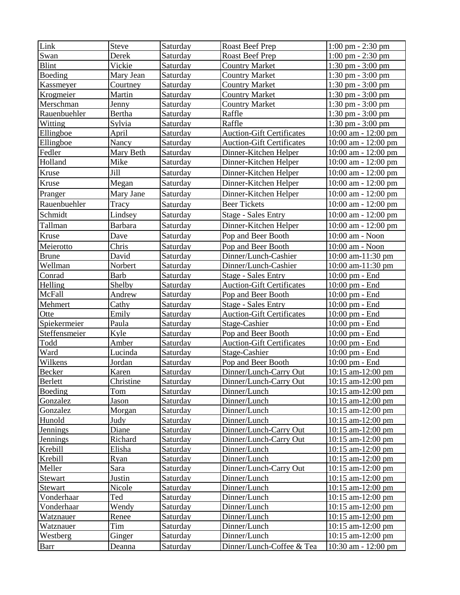| Link                    | <b>Steve</b>     | Saturday             | Roast Beef Prep                           | $1:00 \text{ pm} - 2:30 \text{ pm}$           |
|-------------------------|------------------|----------------------|-------------------------------------------|-----------------------------------------------|
| Swan                    | Derek            | Saturday             | Roast Beef Prep                           | $1:00 \text{ pm} - 2:30 \text{ pm}$           |
| <b>Blint</b>            | Vickie           | Saturday             | <b>Country Market</b>                     | $1:30$ pm $-3:00$ pm                          |
| Boeding                 | Mary Jean        | Saturday             | <b>Country Market</b>                     | 1:30 pm - 3:00 pm                             |
| Kassmeyer               | Courtney         | Saturday             | <b>Country Market</b>                     | 1:30 pm - 3:00 pm                             |
| Krogmeier               | Martin           | Saturday             | <b>Country Market</b>                     | 1:30 pm - 3:00 pm                             |
| Merschman               | Jenny            | Saturday             | <b>Country Market</b>                     | $1:30$ pm $-3:00$ pm                          |
| Rauenbuehler            | Bertha           | Saturday             | Raffle                                    | $1:30$ pm $-3:00$ pm                          |
| Witting                 | Sylvia           | Saturday             | Raffle                                    | $1:30$ pm $-3:00$ pm                          |
| Ellingboe               | April            | Saturday             | <b>Auction-Gift Certificates</b>          | 10:00 am - 12:00 pm                           |
| Ellingboe               | Nancy            | Saturday             | <b>Auction-Gift Certificates</b>          | 10:00 am - 12:00 pm                           |
| Fedler                  | Mary Beth        | Saturday             | Dinner-Kitchen Helper                     | $10:00$ am - $12:00$ pm                       |
| Holland                 | Mike             | Saturday             | Dinner-Kitchen Helper                     | 10:00 am - 12:00 pm                           |
| Kruse                   | Jill             | Saturday             | Dinner-Kitchen Helper                     | $10:00$ am - $12:00$ pm                       |
| Kruse                   | Megan            | Saturday             | Dinner-Kitchen Helper                     | 10:00 am - 12:00 pm                           |
| Pranger                 | Mary Jane        | Saturday             | Dinner-Kitchen Helper                     | 10:00 am - 12:00 pm                           |
| Rauenbuehler            | Tracy            | Saturday             | <b>Beer Tickets</b>                       | $10:00$ am - $12:00$ pm                       |
| Schmidt                 | Lindsey          | Saturday             | <b>Stage - Sales Entry</b>                | 10:00 am - 12:00 pm                           |
| Tallman                 | <b>Barbara</b>   | Saturday             | Dinner-Kitchen Helper                     | $10:00$ am - $12:00$ pm                       |
|                         |                  |                      |                                           |                                               |
| Kruse                   | Dave             | Saturday             | Pop and Beer Booth                        | 10:00 am - Noon                               |
| Meierotto               | Chris            | Saturday             | Pop and Beer Booth                        | 10:00 am - Noon                               |
| <b>Brune</b>            | David            | Saturday             | Dinner/Lunch-Cashier                      | 10:00 am-11:30 pm                             |
| Wellman                 | Norbert          | Saturday             | Dinner/Lunch-Cashier                      | 10:00 am-11:30 pm                             |
| Conrad                  | <b>Barb</b>      | Saturday             | <b>Stage - Sales Entry</b>                | $10:00$ pm $-$ End                            |
| Helling                 | Shelby           | Saturday             | <b>Auction-Gift Certificates</b>          | 10:00 pm - End                                |
| McFall                  | Andrew           | Saturday             | Pop and Beer Booth                        | 10:00 pm - End                                |
| Mehmert                 | Cathy            | Saturday             | <b>Stage - Sales Entry</b>                | 10:00 pm - End                                |
|                         |                  |                      |                                           |                                               |
| Otte                    | Emily            | Saturday             | <b>Auction-Gift Certificates</b>          | 10:00 pm - End                                |
| Spiekermeier            | Paula            | Saturday             | Stage-Cashier                             | 10:00 pm - End                                |
| Steffensmeier           | Kyle             | Saturday             | Pop and Beer Booth                        | 10:00 pm - End                                |
| Todd                    | Amber            | Saturday             | <b>Auction-Gift Certificates</b>          | $10:00$ pm $-$ End                            |
| Ward                    | Lucinda          | Saturday             | Stage-Cashier                             | 10:00 pm - End                                |
| Wilkens                 | Jordan           | Saturday             | Pop and Beer Booth                        | 10:00 pm - End                                |
| Becker                  | Karen            | Saturday             | Dinner/Lunch-Carry Out                    | 10:15 am-12:00 pm                             |
| <b>Berlett</b>          | Christine        | Saturday             | Dinner/Lunch-Carry Out                    | 10:15 am-12:00 pm                             |
| Boeding                 | Tom              | Saturday             | Dinner/Lunch                              | $10:15$ am- $12:00$ pm                        |
| Gonzalez                | Jason            | Saturday             | Dinner/Lunch                              | 10:15 am-12:00 pm                             |
| Gonzalez                | Morgan           | Saturday             | Dinner/Lunch                              | 10:15 am-12:00 pm                             |
| Hunold                  | Judy             | Saturday             | Dinner/Lunch                              | 10:15 am-12:00 pm                             |
| Jennings                | Diane            | Saturday             | Dinner/Lunch-Carry Out                    | 10:15 am-12:00 pm                             |
| <b>Jennings</b>         | Richard          | Saturday             | Dinner/Lunch-Carry Out                    | 10:15 am-12:00 pm                             |
| Krebill                 | Elisha           | Saturday             | Dinner/Lunch                              | 10:15 am-12:00 pm                             |
| Krebill                 | Ryan             | Saturday             | Dinner/Lunch                              | $10:15$ am- $12:00$ pm                        |
| Meller                  | Sara             | Saturday             | Dinner/Lunch-Carry Out                    | 10:15 am-12:00 pm                             |
| Stewart                 | <b>Justin</b>    | Saturday             | Dinner/Lunch                              | $10:15$ am- $12:00$ pm                        |
| <b>Stewart</b>          | Nicole           | Saturday             | Dinner/Lunch                              | $10:15$ am- $12:00$ pm                        |
| Vonderhaar              | Ted              | Saturday             | Dinner/Lunch                              | 10:15 am-12:00 pm                             |
| Vonderhaar              | Wendy            | Saturday             | Dinner/Lunch                              | 10:15 am-12:00 pm                             |
| Watznauer               | Renee            | Saturday             | Dinner/Lunch                              | 10:15 am-12:00 pm                             |
| Watznauer               | Tim              | Saturday             | Dinner/Lunch                              | 10:15 am-12:00 pm                             |
| Westberg<br><b>Barr</b> | Ginger<br>Deanna | Saturday<br>Saturday | Dinner/Lunch<br>Dinner/Lunch-Coffee & Tea | $10:15$ am- $12:00$ pm<br>10:30 am - 12:00 pm |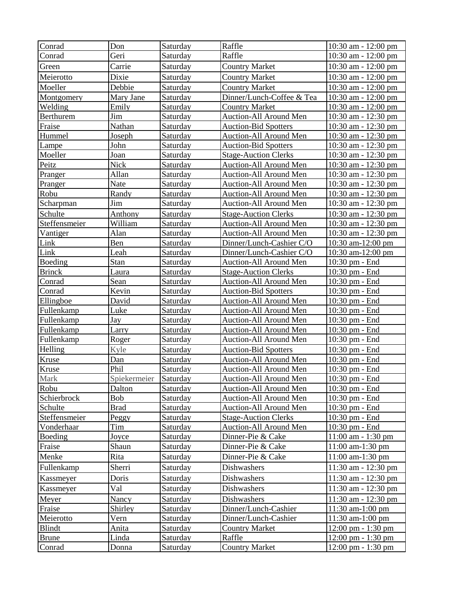| Conrad           | Don          | Saturday        | Raffle                        | $10:30$ am $-12:00$ pm               |
|------------------|--------------|-----------------|-------------------------------|--------------------------------------|
| Conrad           | Geri         | Saturday        | Raffle                        | 10:30 am - 12:00 pm                  |
| Green            | Carrie       | Saturday        | <b>Country Market</b>         | 10:30 am - 12:00 pm                  |
| Meierotto        | Dixie        | Saturday        | <b>Country Market</b>         | $10:30$ am - $12:00$ pm              |
| Moeller          | Debbie       | Saturday        | <b>Country Market</b>         | 10:30 am - 12:00 pm                  |
| Montgomery       | Mary Jane    | Saturday        | Dinner/Lunch-Coffee & Tea     | 10:30 am - 12:00 pm                  |
| Welding          | Emily        | Saturday        | <b>Country Market</b>         | 10:30 am - 12:00 pm                  |
| <b>Berthurem</b> | Jim          | Saturday        | Auction-All Around Men        | 10:30 am - 12:30 pm                  |
| Fraise           | Nathan       | Saturday        | <b>Auction-Bid Spotters</b>   | $10:30$ am - $12:30$ pm              |
| Hummel           | Joseph       | Saturday        | Auction-All Around Men        | 10:30 am - 12:30 pm                  |
| Lampe            | John         | Saturday        | <b>Auction-Bid Spotters</b>   | 10:30 am - 12:30 pm                  |
| Moeller          | Joan         | Saturday        | <b>Stage-Auction Clerks</b>   | 10:30 am - 12:30 pm                  |
| Peitz            | Nick         | Saturday        | Auction-All Around Men        | 10:30 am - 12:30 pm                  |
| Pranger          | Allan        | Saturday        | Auction-All Around Men        | 10:30 am - 12:30 pm                  |
| Pranger          | Nate         | Saturday        | Auction-All Around Men        | 10:30 am - 12:30 pm                  |
| Robu             | Randy        | Saturday        | Auction-All Around Men        | 10:30 am - 12:30 pm                  |
| Scharpman        | Jim          | Saturday        | Auction-All Around Men        | $10:30$ am $-12:30$ pm               |
| Schulte          | Anthony      | Saturday        | <b>Stage-Auction Clerks</b>   | 10:30 am - 12:30 pm                  |
| Steffensmeier    | William      | Saturday        | Auction-All Around Men        | 10:30 am - 12:30 pm                  |
| Vantiger         | Alan         | Saturday        | <b>Auction-All Around Men</b> | 10:30 am - 12:30 pm                  |
| Link             | Ben          | Saturday        | Dinner/Lunch-Cashier C/O      | 10:30 am-12:00 pm                    |
| Link             | Leah         | Saturday        | Dinner/Lunch-Cashier C/O      | 10:30 am-12:00 pm                    |
| Boeding          | Stan         | Saturday        | Auction-All Around Men        | 10:30 pm - End                       |
| <b>Brinck</b>    | Laura        | Saturday        | <b>Stage-Auction Clerks</b>   | $10:30$ pm $-$ End                   |
| Conrad           | Sean         | Saturday        | Auction-All Around Men        | 10:30 pm - End                       |
| Conrad           | Kevin        | Saturday        | <b>Auction-Bid Spotters</b>   | 10:30 pm - End                       |
| Ellingboe        | David        | Saturday        | Auction-All Around Men        | 10:30 pm - End                       |
| Fullenkamp       | Luke         | Saturday        | Auction-All Around Men        | 10:30 pm - End                       |
| Fullenkamp       | Jay          | Saturday        | Auction-All Around Men        | $10:30$ pm $-$ End                   |
| Fullenkamp       | Larry        | Saturday        | Auction-All Around Men        | 10:30 pm - End                       |
| Fullenkamp       | Roger        | Saturday        | <b>Auction-All Around Men</b> | 10:30 pm - End                       |
| Helling          | Kyle         | Saturday        | <b>Auction-Bid Spotters</b>   | 10:30 pm - End                       |
| Kruse            | Dan          | Saturday        | Auction-All Around Men        | 10:30 pm - End                       |
| Kruse            | Phil         | Saturday        | <b>Auction-All Around Men</b> | $10:30$ pm - End                     |
| Mark             | Spiekermeier | Saturday        | Auction-All Around Men        | 10:30 pm - End                       |
| Robu             | Dalton       | Saturday        | <b>Auction-All Around Men</b> | 10:30 pm - End                       |
| Schierbrock      | Bob          | Saturday        | Auction-All Around Men        | 10:30 pm - End                       |
| Schulte          | <b>Brad</b>  | Saturday        | Auction-All Around Men        | $10:30$ pm $-$ End                   |
| Steffensmeier    | Peggy        | Saturday        | <b>Stage-Auction Clerks</b>   | 10:30 pm - End                       |
| Vonderhaar       | Tim          | Saturday        | Auction-All Around Men        | 10:30 pm - End                       |
| <b>Boeding</b>   | Joyce        | Saturday        | Dinner-Pie & Cake             | $11:00$ am $-1:30$ pm                |
| Fraise           | Shaun        | Saturday        | Dinner-Pie & Cake             | $11:00$ am- $1:30$ pm                |
| Menke            | Rita         | Saturday        | Dinner-Pie & Cake             | 11:00 am-1:30 pm                     |
| Fullenkamp       | Sherri       | Saturday        | Dishwashers                   | 11:30 am - 12:30 pm                  |
| Kassmeyer        | Doris        | Saturday        | Dishwashers                   | 11:30 am - 12:30 pm                  |
| Kassmeyer        | Val          | Saturday        | Dishwashers                   | $11:30$ am $-12:30$ pm               |
| Meyer            | Nancy        | Saturday        | Dishwashers                   | 11:30 am - 12:30 pm                  |
| Fraise           | Shirley      | Saturday        | Dinner/Lunch-Cashier          | $11:30$ am- $1:00$ pm                |
| Meierotto        | Vern         | Saturday        | Dinner/Lunch-Cashier          | $11:30$ am- $1:00$ pm                |
| <b>Blindt</b>    | Anita        | Saturday        | <b>Country Market</b>         | $12:00 \text{ pm} - 1:30 \text{ pm}$ |
| <b>Brune</b>     | Linda        | Saturday        | Raffle                        | $12:00 \text{ pm} - 1:30 \text{ pm}$ |
| Conrad           | Donna        | <b>Saturday</b> | <b>Country Market</b>         | $12:00 \text{ pm} - 1:30 \text{ pm}$ |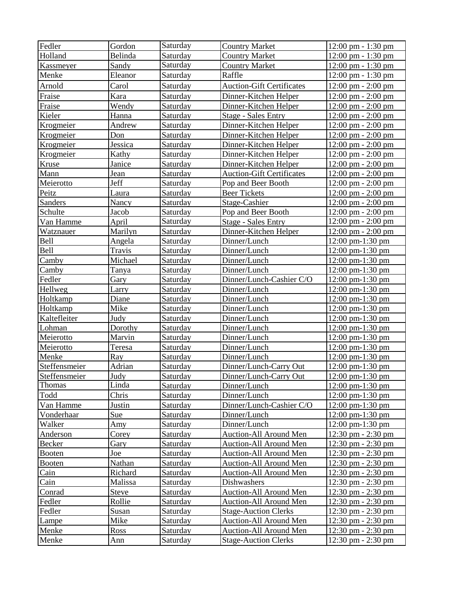| Fedler        | Gordon       | Saturday | <b>Country Market</b>            | 12:00 pm - 1:30 pm                   |
|---------------|--------------|----------|----------------------------------|--------------------------------------|
| Holland       | Belinda      | Saturday | <b>Country Market</b>            | 12:00 pm - 1:30 pm                   |
| Kassmeyer     | Sandy        | Saturday | <b>Country Market</b>            | 12:00 pm - 1:30 pm                   |
| Menke         | Eleanor      | Saturday | Raffle                           | 12:00 pm - 1:30 pm                   |
| Arnold        | Carol        | Saturday | <b>Auction-Gift Certificates</b> | $12:00 \text{ pm} - 2:00 \text{ pm}$ |
| Fraise        | Kara         | Saturday | Dinner-Kitchen Helper            | $12:00 \text{ pm} - 2:00 \text{ pm}$ |
| Fraise        | Wendy        | Saturday | Dinner-Kitchen Helper            | $12:00 \text{ pm} - 2:00 \text{ pm}$ |
| Kieler        | Hanna        | Saturday | <b>Stage - Sales Entry</b>       | 12:00 pm - 2:00 pm                   |
| Krogmeier     | Andrew       | Saturday | Dinner-Kitchen Helper            | $12:00 \text{ pm} - 2:00 \text{ pm}$ |
| Krogmeier     | Don          | Saturday | Dinner-Kitchen Helper            | $12:00 \text{ pm} - 2:00 \text{ pm}$ |
| Krogmeier     | Jessica      | Saturday | Dinner-Kitchen Helper            | $12:00 \text{ pm} - 2:00 \text{ pm}$ |
| Krogmeier     | Kathy        | Saturday | Dinner-Kitchen Helper            | 12:00 pm - 2:00 pm                   |
| Kruse         | Janice       | Saturday | Dinner-Kitchen Helper            | $12:00 \text{ pm} - 2:00 \text{ pm}$ |
| Mann          | Jean         | Saturday | <b>Auction-Gift Certificates</b> | $12:00 \text{ pm} - 2:00 \text{ pm}$ |
| Meierotto     | Jeff         | Saturday | Pop and Beer Booth               | 12:00 pm - 2:00 pm                   |
| Peitz         | Laura        | Saturday | <b>Beer Tickets</b>              | 12:00 pm - 2:00 pm                   |
| Sanders       | Nancy        | Saturday | Stage-Cashier                    | $12:00 \text{ pm} - 2:00 \text{ pm}$ |
| Schulte       | Jacob        | Saturday | Pop and Beer Booth               | $12:00 \text{ pm} - 2:00 \text{ pm}$ |
| Van Hamme     | April        | Saturday | <b>Stage - Sales Entry</b>       | $12:00 \text{ pm} - 2:00 \text{ pm}$ |
| Watznauer     | Marilyn      | Saturday | Dinner-Kitchen Helper            | 12:00 pm - 2:00 pm                   |
| <b>Bell</b>   | Angela       | Saturday | Dinner/Lunch                     | 12:00 pm-1:30 pm                     |
| Bell          | Travis       | Saturday | Dinner/Lunch                     | $12:00 \text{ pm-}1:30 \text{ pm}$   |
| Camby         | Michael      | Saturday | Dinner/Lunch                     | $12:00$ pm- $1:30$ pm                |
| Camby         | Tanya        | Saturday | Dinner/Lunch                     | $12:00$ pm- $1:30$ pm                |
| Fedler        | Gary         | Saturday | Dinner/Lunch-Cashier C/O         | 12:00 pm-1:30 pm                     |
| Hellweg       | Larry        | Saturday | Dinner/Lunch                     | $12:00 \text{ pm-}1:30 \text{ pm}$   |
| Holtkamp      | Diane        | Saturday | Dinner/Lunch                     | 12:00 pm-1:30 pm                     |
| Holtkamp      | Mike         | Saturday | Dinner/Lunch                     | 12:00 pm-1:30 pm                     |
| Kaltefleiter  | Judy         | Saturday | Dinner/Lunch                     | 12:00 pm-1:30 pm                     |
| Lohman        | Dorothy      | Saturday | Dinner/Lunch                     | 12:00 pm-1:30 pm                     |
| Meierotto     | Marvin       | Saturday | Dinner/Lunch                     | $12:00$ pm- $1:30$ pm                |
| Meierotto     | Teresa       | Saturday | Dinner/Lunch                     | 12:00 pm-1:30 pm                     |
| Menke         | Ray          | Saturday | Dinner/Lunch                     | 12:00 pm-1:30 pm                     |
| Steffensmeier | Adrian       | Saturday | Dinner/Lunch-Carry Out           | 12:00 pm-1:30 pm                     |
| Steffensmeier | <b>Judy</b>  | Saturday | Dinner/Lunch-Carry Out           | 12:00 pm-1:30 pm                     |
| Thomas        | Linda        | Saturday | Dinner/Lunch                     | $12:00 \text{ pm-}1:30 \text{ pm}$   |
| Todd          | Chris        | Saturday | Dinner/Lunch                     | 12:00 pm-1:30 pm                     |
| Van Hamme     | Justin       | Saturday | Dinner/Lunch-Cashier C/O         | $12:00 \text{ pm-}1:30 \text{ pm}$   |
| Vonderhaar    | Sue          | Saturday | Dinner/Lunch                     | 12:00 pm-1:30 pm                     |
| Walker        | Amy          | Saturday | Dinner/Lunch                     | 12:00 pm-1:30 pm                     |
| Anderson      | Corey        | Saturday | Auction-All Around Men           | $12:30 \text{ pm} - 2:30 \text{ pm}$ |
| Becker        | Gary         | Saturday | Auction-All Around Men           | 12:30 pm - 2:30 pm                   |
| <b>Booten</b> | Joe          | Saturday | <b>Auction-All Around Men</b>    | 12:30 pm - 2:30 pm                   |
| <b>Booten</b> | Nathan       | Saturday | Auction-All Around Men           | 12:30 pm - 2:30 pm                   |
| Cain          | Richard      | Saturday | Auction-All Around Men           | $12:30 \text{ pm} - 2:30 \text{ pm}$ |
| Cain          | Malissa      | Saturday | Dishwashers                      | $12:30$ pm $-2:30$ pm                |
| Conrad        | <b>Steve</b> | Saturday | <b>Auction-All Around Men</b>    | $12:30 \text{ pm} - 2:30 \text{ pm}$ |
| Fedler        | Rollie       | Saturday | Auction-All Around Men           | 12:30 pm - 2:30 pm                   |
| Fedler        | Susan        | Saturday | <b>Stage-Auction Clerks</b>      | 12:30 pm - 2:30 pm                   |
| Lampe         | Mike         | Saturday | Auction-All Around Men           | 12:30 pm - 2:30 pm                   |
| Menke         | <b>Ross</b>  | Saturday | Auction-All Around Men           | 12:30 pm - 2:30 pm                   |
| Menke         | Ann          | Saturday | <b>Stage-Auction Clerks</b>      | $12:30 \text{ pm} - 2:30 \text{ pm}$ |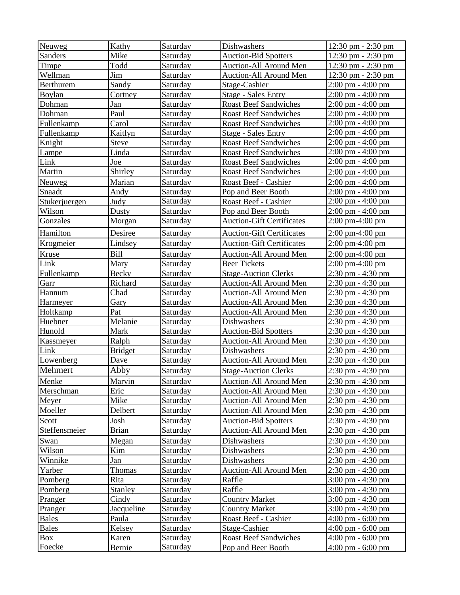| Neuweg         | Kathy          | Saturday | Dishwashers                      | 12:30 pm - 2:30 pm                  |
|----------------|----------------|----------|----------------------------------|-------------------------------------|
| <b>Sanders</b> | Mike           | Saturday | <b>Auction-Bid Spotters</b>      | 12:30 pm - 2:30 pm                  |
| Timpe          | Todd           | Saturday | Auction-All Around Men           | 12:30 pm - 2:30 pm                  |
| Wellman        | Jim            | Saturday | Auction-All Around Men           | 12:30 pm - 2:30 pm                  |
| Berthurem      | Sandy          | Saturday | Stage-Cashier                    | $2:00 \text{ pm} - 4:00 \text{ pm}$ |
| Boylan         | Cortney        | Saturday | <b>Stage - Sales Entry</b>       | 2:00 pm - 4:00 pm                   |
| Dohman         | Jan            | Saturday | <b>Roast Beef Sandwiches</b>     | $2:00 \text{ pm} - 4:00 \text{ pm}$ |
| Dohman         | Paul           | Saturday | <b>Roast Beef Sandwiches</b>     | $2:00 \text{ pm} - 4:00 \text{ pm}$ |
| Fullenkamp     | Carol          | Saturday | <b>Roast Beef Sandwiches</b>     | $2:00 \text{ pm} - 4:00 \text{ pm}$ |
| Fullenkamp     | Kaitlyn        | Saturday | <b>Stage - Sales Entry</b>       | 2:00 pm - 4:00 pm                   |
| Knight         | <b>Steve</b>   | Saturday | <b>Roast Beef Sandwiches</b>     | 2:00 pm - 4:00 pm                   |
| Lampe          | Linda          | Saturday | <b>Roast Beef Sandwiches</b>     | 2:00 pm - 4:00 pm                   |
| Link           | Joe            | Saturday | <b>Roast Beef Sandwiches</b>     | 2:00 pm - 4:00 pm                   |
| Martin         | Shirley        | Saturday | <b>Roast Beef Sandwiches</b>     | $2:00 \text{ pm} - 4:00 \text{ pm}$ |
| Neuweg         | Marian         | Saturday | Roast Beef - Cashier             | $2:00 \text{ pm} - 4:00 \text{ pm}$ |
| Snaadt         | Andy           | Saturday | Pop and Beer Booth               | 2:00 pm - 4:00 pm                   |
| Stukerjuergen  | Judy           | Saturday | Roast Beef - Cashier             | 2:00 pm - 4:00 pm                   |
| Wilson         | Dusty          | Saturday | Pop and Beer Booth               | 2:00 pm - 4:00 pm                   |
| Gonzales       | Morgan         | Saturday | <b>Auction-Gift Certificates</b> | 2:00 pm-4:00 pm                     |
| Hamilton       | Desiree        | Saturday | <b>Auction-Gift Certificates</b> | $2:00 \text{ pm-}4:00 \text{ pm}$   |
| Krogmeier      | Lindsey        | Saturday | <b>Auction-Gift Certificates</b> | 2:00 pm-4:00 pm                     |
| Kruse          | Bill           | Saturday | Auction-All Around Men           | $2:00 \text{ pm}-4:00 \text{ pm}$   |
| Link           | Mary           | Saturday | <b>Beer Tickets</b>              | $2:00 \text{ pm}-4:00 \text{ pm}$   |
| Fullenkamp     | <b>Becky</b>   | Saturday | <b>Stage-Auction Clerks</b>      | $2:30$ pm - $4:30$ pm               |
| Garr           | Richard        | Saturday | Auction-All Around Men           | 2:30 pm - 4:30 pm                   |
| Hannum         | Chad           | Saturday | Auction-All Around Men           | 2:30 pm - 4:30 pm                   |
| Harmeyer       | Gary           | Saturday | Auction-All Around Men           | $2:30$ pm $-4:30$ pm                |
| Holtkamp       | Pat            | Saturday | Auction-All Around Men           | 2:30 pm - 4:30 pm                   |
| Huebner        | Melanie        | Saturday | Dishwashers                      | 2:30 pm - 4:30 pm                   |
| Hunold         | Mark           | Saturday | <b>Auction-Bid Spotters</b>      | 2:30 pm - 4:30 pm                   |
| Kassmeyer      | Ralph          | Saturday | Auction-All Around Men           | $2:30$ pm $-4:30$ pm                |
| Link           | <b>Bridget</b> | Saturday | Dishwashers                      | $2:30$ pm - $4:30$ pm               |
| Lowenberg      | Dave           | Saturday | <b>Auction-All Around Men</b>    | 2:30 pm - 4:30 pm                   |
| Mehmert        | Abby           | Saturday | <b>Stage-Auction Clerks</b>      | 2:30 pm - 4:30 pm                   |
| Menke          | Marvin         | Saturday | Auction-All Around Men           | 2:30 pm - 4:30 pm                   |
| Merschman      | Eric           | Saturday | Auction-All Around Men           | $2:30 \text{ pm} - 4:30 \text{ pm}$ |
| Meyer          | Mike           | Saturday | <b>Auction-All Around Men</b>    | $2:30$ pm - $4:30$ pm               |
| Moeller        | Delbert        | Saturday | <b>Auction-All Around Men</b>    | 2:30 pm - 4:30 pm                   |
| Scott          | Josh           | Saturday | <b>Auction-Bid Spotters</b>      | 2:30 pm - 4:30 pm                   |
| Steffensmeier  | <b>Brian</b>   | Saturday | Auction-All Around Men           | 2:30 pm - 4:30 pm                   |
| Swan           | Megan          | Saturday | Dishwashers                      | $2:30$ pm $-4:30$ pm                |
| Wilson         | Kim            | Saturday | Dishwashers                      | 2:30 pm - 4:30 pm                   |
| Winnike        | Jan            | Saturday | Dishwashers                      | 2:30 pm - 4:30 pm                   |
| Yarber         | Thomas         | Saturday | Auction-All Around Men           | 2:30 pm - 4:30 pm                   |
| Pomberg        | Rita           | Saturday | Raffle                           | 3:00 pm - 4:30 pm                   |
| Pomberg        | Stanley        | Saturday | Raffle                           | 3:00 pm - 4:30 pm                   |
| Pranger        | Cindy          | Saturday | <b>Country Market</b>            | $3:00 \text{ pm} - 4:30 \text{ pm}$ |
| Pranger        | Jacqueline     | Saturday | <b>Country Market</b>            | $3:00 \text{ pm} - 4:30 \text{ pm}$ |
| <b>Bales</b>   | Paula          | Saturday | Roast Beef - Cashier             | $4:00 \text{ pm} - 6:00 \text{ pm}$ |
| Bales          | Kelsey         | Saturday | Stage-Cashier                    | $4:00 \text{ pm} - 6:00 \text{ pm}$ |
| Box            | Karen          | Saturday | <b>Roast Beef Sandwiches</b>     | $4:00 \text{ pm} - 6:00 \text{ pm}$ |
| Foecke         | <b>Bernie</b>  | Saturday | Pop and Beer Booth               | 4:00 pm $-$ 6:00 pm                 |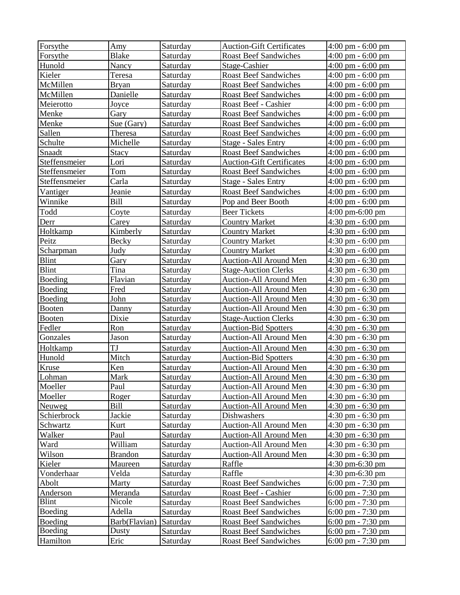| Forsythe      | Amy             | Saturday | <b>Auction-Gift Certificates</b> | $4:00 \text{ pm} - 6:00 \text{ pm}$ |
|---------------|-----------------|----------|----------------------------------|-------------------------------------|
| Forsythe      | <b>Blake</b>    | Saturday | <b>Roast Beef Sandwiches</b>     | $4:00 \text{ pm} - 6:00 \text{ pm}$ |
| Hunold        | Nancy           | Saturday | Stage-Cashier                    | $4:00 \text{ pm} - 6:00 \text{ pm}$ |
| Kieler        | Teresa          | Saturday | <b>Roast Beef Sandwiches</b>     | $4:00 \text{ pm} - 6:00 \text{ pm}$ |
| McMillen      | <b>Bryan</b>    | Saturday | <b>Roast Beef Sandwiches</b>     | $4:00 \text{ pm} - 6:00 \text{ pm}$ |
| McMillen      | Danielle        | Saturday | <b>Roast Beef Sandwiches</b>     | $4:00 \text{ pm} - 6:00 \text{ pm}$ |
| Meierotto     | Joyce           | Saturday | Roast Beef - Cashier             | $4:00 \text{ pm} - 6:00 \text{ pm}$ |
| Menke         | Gary            | Saturday | <b>Roast Beef Sandwiches</b>     | $4:00 \text{ pm} - 6:00 \text{ pm}$ |
| Menke         | Sue (Gary)      | Saturday | <b>Roast Beef Sandwiches</b>     | $4:00 \text{ pm} - 6:00 \text{ pm}$ |
| Sallen        | Theresa         | Saturday | <b>Roast Beef Sandwiches</b>     | $4:00 \text{ pm} - 6:00 \text{ pm}$ |
| Schulte       | Michelle        | Saturday | <b>Stage - Sales Entry</b>       | $4:00 \text{ pm} - 6:00 \text{ pm}$ |
| Snaadt        | <b>Stacy</b>    | Saturday | <b>Roast Beef Sandwiches</b>     | $4:00 \text{ pm} - 6:00 \text{ pm}$ |
| Steffensmeier | Lori            | Saturday | <b>Auction-Gift Certificates</b> | $4:00 \text{ pm} - 6:00 \text{ pm}$ |
| Steffensmeier | Tom             | Saturday | <b>Roast Beef Sandwiches</b>     | $4:00 \text{ pm} - 6:00 \text{ pm}$ |
| Steffensmeier | Carla           | Saturday | <b>Stage - Sales Entry</b>       | 4:00 pm - 6:00 pm                   |
| Vantiger      | Jeanie          | Saturday | <b>Roast Beef Sandwiches</b>     | $4:00 \text{ pm} - 6:00 \text{ pm}$ |
| Winnike       | <b>Bill</b>     | Saturday | Pop and Beer Booth               | $4:00 \text{ pm} - 6:00 \text{ pm}$ |
| Todd          | Coyte           | Saturday | <b>Beer Tickets</b>              | $4:00 \text{ pm}-6:00 \text{ pm}$   |
| Derr          | Carey           | Saturday | <b>Country Market</b>            | $4:30$ pm $-6:00$ pm                |
| Holtkamp      | Kimberly        | Saturday | <b>Country Market</b>            | $4:30 \text{ pm} - 6:00 \text{ pm}$ |
| Peitz         | Becky           | Saturday | <b>Country Market</b>            | $4:30 \text{ pm} - 6:00 \text{ pm}$ |
| Scharpman     | Judy            | Saturday | <b>Country Market</b>            | 4:30 pm - 6:00 pm                   |
| <b>Blint</b>  | Gary            | Saturday | Auction-All Around Men           | $4:30$ pm $-6:30$ pm                |
| <b>Blint</b>  | Tina            | Saturday | <b>Stage-Auction Clerks</b>      | 4:30 pm - 6:30 pm                   |
| Boeding       | Flavian         | Saturday | Auction-All Around Men           | $4:30$ pm $-6:30$ pm                |
| Boeding       | Fred            | Saturday | Auction-All Around Men           | $4:30$ pm $-6:30$ pm                |
| Boeding       | John            | Saturday | Auction-All Around Men           | $4:30$ pm $-6:30$ pm                |
| <b>Booten</b> | Danny           | Saturday | Auction-All Around Men           | 4:30 pm - 6:30 pm                   |
| <b>Booten</b> | Dixie           | Saturday | <b>Stage-Auction Clerks</b>      | 4:30 pm - 6:30 pm                   |
| Fedler        | R <sub>on</sub> | Saturday | <b>Auction-Bid Spotters</b>      | 4:30 pm - 6:30 pm                   |
| Gonzales      | Jason           | Saturday | Auction-All Around Men           | 4:30 pm - 6:30 pm                   |
| Holtkamp      | TJ              | Saturday | Auction-All Around Men           | 4:30 pm - 6:30 pm                   |
| Hunold        | Mitch           | Saturday | <b>Auction-Bid Spotters</b>      | 4:30 pm - 6:30 pm                   |
| Kruse         | Ken             | Saturday | Auction-All Around Men           | $4:30$ pm $-6:30$ pm                |
| Lohman        | Mark            | Saturday | <b>Auction-All Around Men</b>    | $4:30$ pm $-6:30$ pm                |
| Moeller       | Paul            | Saturday | <b>Auction-All Around Men</b>    | $4:30 \text{ pm} - 6:30 \text{ pm}$ |
| Moeller       | Roger           | Saturday | <b>Auction-All Around Men</b>    | $4:30$ pm $-6:30$ pm                |
| Neuweg        | Bill            | Saturday | Auction-All Around Men           | $4:30 \text{ pm} - 6:30 \text{ pm}$ |
| Schierbrock   | Jackie          | Saturday | Dishwashers                      | $4:30$ pm $-6:30$ pm                |
| Schwartz      | Kurt            | Saturday | Auction-All Around Men           | $4:30 \text{ pm} - 6:30 \text{ pm}$ |
| Walker        | Paul            | Saturday | Auction-All Around Men           | $4:30$ pm $-6:30$ pm                |
| Ward          | William         | Saturday | Auction-All Around Men           | $4:30$ pm $-6:30$ pm                |
| Wilson        | <b>Brandon</b>  | Saturday | <b>Auction-All Around Men</b>    | $4:30 \text{ pm} - 6:30 \text{ pm}$ |
| Kieler        | Maureen         | Saturday | Raffle                           | 4:30 pm-6:30 pm                     |
| Vonderhaar    | Velda           | Saturday | Raffle                           | $4:30 \text{ pm}-6:30 \text{ pm}$   |
| Abolt         | Marty           | Saturday | <b>Roast Beef Sandwiches</b>     | $6:00 \text{ pm} - 7:30 \text{ pm}$ |
| Anderson      | Meranda         | Saturday | Roast Beef - Cashier             | $6:00 \text{ pm} - 7:30 \text{ pm}$ |
| <b>Blint</b>  | Nicole          | Saturday | <b>Roast Beef Sandwiches</b>     | $6:00 \text{ pm} - 7:30 \text{ pm}$ |
| Boeding       | Adella          | Saturday | <b>Roast Beef Sandwiches</b>     | $6:00 \text{ pm} - 7:30 \text{ pm}$ |
| Boeding       | Barb(Flavian)   | Saturday | <b>Roast Beef Sandwiches</b>     | $6:00 \text{ pm} - 7:30 \text{ pm}$ |
| Boeding       | Dusty           | Saturday | <b>Roast Beef Sandwiches</b>     | $6:00 \text{ pm} - 7:30 \text{ pm}$ |
| Hamilton      | Eric            | Saturday | <b>Roast Beef Sandwiches</b>     | $6:00 \text{ pm} - 7:30 \text{ pm}$ |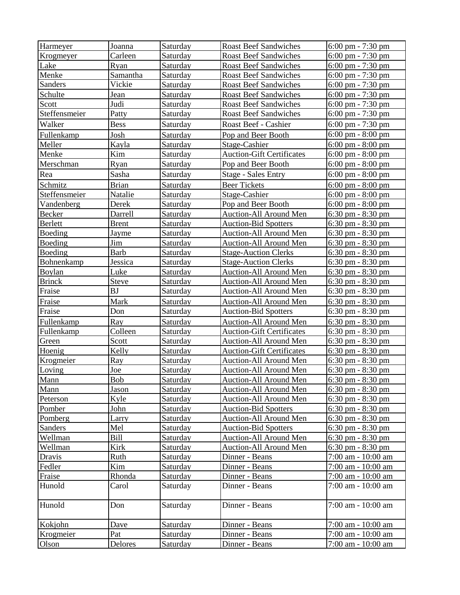| Harmeyer       | Joanna       | Saturday        | <b>Roast Beef Sandwiches</b>     | $6:00 \text{ pm} - 7:30 \text{ pm}$ |
|----------------|--------------|-----------------|----------------------------------|-------------------------------------|
| Krogmeyer      | Carleen      | Saturday        | <b>Roast Beef Sandwiches</b>     | $6:00 \text{ pm} - 7:30 \text{ pm}$ |
| Lake           | Ryan         | Saturday        | <b>Roast Beef Sandwiches</b>     | $6:00 \text{ pm} - 7:30 \text{ pm}$ |
| Menke          | Samantha     | Saturday        | <b>Roast Beef Sandwiches</b>     | 6:00 pm - 7:30 pm                   |
| Sanders        | Vickie       | Saturday        | <b>Roast Beef Sandwiches</b>     | 6:00 pm - 7:30 pm                   |
| Schulte        | Jean         | Saturday        | <b>Roast Beef Sandwiches</b>     | $6:00 \text{ pm} - 7:30 \text{ pm}$ |
| Scott          | Judi         | Saturday        | <b>Roast Beef Sandwiches</b>     | $6:00 \text{ pm} - 7:30 \text{ pm}$ |
| Steffensmeier  | Patty        | Saturday        | <b>Roast Beef Sandwiches</b>     | $6:00 \text{ pm} - 7:30 \text{ pm}$ |
| Walker         | <b>Bess</b>  | Saturday        | Roast Beef - Cashier             | $6:00 \text{ pm} - 7:30 \text{ pm}$ |
| Fullenkamp     | Josh         | Saturday        | Pop and Beer Booth               | $6:00 \text{ pm} - 8:00 \text{ pm}$ |
| Meller         | Kayla        | Saturday        | Stage-Cashier                    | $6:00 \text{ pm} - 8:00 \text{ pm}$ |
| Menke          | Kim          | Saturday        | <b>Auction-Gift Certificates</b> | $6:00 \text{ pm} - 8:00 \text{ pm}$ |
| Merschman      | Ryan         | Saturday        | Pop and Beer Booth               | $6:00 \text{ pm} - 8:00 \text{ pm}$ |
| Rea            | Sasha        | Saturday        | <b>Stage - Sales Entry</b>       | $6:00 \text{ pm} - 8:00 \text{ pm}$ |
| Schmitz        | <b>Brian</b> | Saturday        | <b>Beer Tickets</b>              | $6:00 \text{ pm} - 8:00 \text{ pm}$ |
| Steffensmeier  | Natalie      | Saturday        | Stage-Cashier                    | $6:00 \text{ pm} - 8:00 \text{ pm}$ |
| Vandenberg     | Derek        | Saturday        | Pop and Beer Booth               | $6:00 \text{ pm} - 8:00 \text{ pm}$ |
| Becker         | Darrell      | Saturday        | Auction-All Around Men           | $6:30 \text{ pm} - 8:30 \text{ pm}$ |
| <b>Berlett</b> | <b>Brent</b> | Saturday        | <b>Auction-Bid Spotters</b>      | $6:30 \text{ pm} - 8:30 \text{ pm}$ |
| Boeding        | Jayme        | Saturday        | <b>Auction-All Around Men</b>    | $6:30 \text{ pm} - 8:30 \text{ pm}$ |
| Boeding        | Jim          | Saturday        | <b>Auction-All Around Men</b>    | $6:30 \text{ pm} - 8:30 \text{ pm}$ |
| Boeding        | <b>Barb</b>  | Saturday        | <b>Stage-Auction Clerks</b>      | $6:30 \text{ pm} - 8:30 \text{ pm}$ |
| Bohnenkamp     | Jessica      | Saturday        | <b>Stage-Auction Clerks</b>      | $6:30 \text{ pm} - 8:30 \text{ pm}$ |
| Boylan         | Luke         | Saturday        | <b>Auction-All Around Men</b>    | $6:30 \text{ pm} - 8:30 \text{ pm}$ |
| <b>Brinck</b>  | <b>Steve</b> | Saturday        | Auction-All Around Men           | $6:30$ pm $-8:30$ pm                |
| Fraise         | <b>BJ</b>    | Saturday        | Auction-All Around Men           | $6:30 \text{ pm} - 8:30 \text{ pm}$ |
| Fraise         | Mark         | Saturday        | <b>Auction-All Around Men</b>    | $6:30 \text{ pm} - 8:30 \text{ pm}$ |
| Fraise         | Don          | Saturday        | <b>Auction-Bid Spotters</b>      | $6:30 \text{ pm} - 8:30 \text{ pm}$ |
| Fullenkamp     | Ray          | Saturday        | <b>Auction-All Around Men</b>    | $6:30$ pm $-8:30$ pm                |
| Fullenkamp     | Colleen      | Saturday        | <b>Auction-Gift Certificates</b> | $6:30 \text{ pm} - 8:30 \text{ pm}$ |
| Green          | Scott        | Saturday        | Auction-All Around Men           | $6:30$ pm $-8:30$ pm                |
| Hoenig         | Kelly        | Saturday        | <b>Auction-Gift Certificates</b> | $6:30 \text{ pm} - 8:30 \text{ pm}$ |
| Krogmeier      | Ray          | Saturday        | <b>Auction-All Around Men</b>    | $6:30 \text{ pm} - 8:30 \text{ pm}$ |
| Loving         | Joe          | Saturday        | <b>Auction-All Around Men</b>    | $6:30 \text{ pm} - 8:30 \text{ pm}$ |
| Mann           | Bob          | <b>Saturday</b> | <b>Auction-All Around Men</b>    | 6:30 pm $-8:30$ pm                  |
| Mann           | Jason        | Saturday        | Auction-All Around Men           | $6:30$ pm $-8:30$ pm                |
| Peterson       | Kyle         | Saturday        | Auction-All Around Men           | $6:30 \text{ pm} - 8:30 \text{ pm}$ |
| Pomber         | John         | Saturday        | <b>Auction-Bid Spotters</b>      | $6:30 \text{ pm} - 8:30 \text{ pm}$ |
| Pomberg        | <b>Larry</b> | Saturday        | <b>Auction-All Around Men</b>    | $6:30 \text{ pm} - 8:30 \text{ pm}$ |
| Sanders        | Mel          | Saturday        | <b>Auction-Bid Spotters</b>      | $6:30$ pm $-8:30$ pm                |
| Wellman        | <b>Bill</b>  | Saturday        | <b>Auction-All Around Men</b>    | $6:30 \text{ pm} - 8:30 \text{ pm}$ |
| Wellman        | Kirk         | Saturday        | <b>Auction-All Around Men</b>    | $6:30 \text{ pm} - 8:30 \text{ pm}$ |
| Dravis         | Ruth         | Saturday        | Dinner - Beans                   | 7:00 am - 10:00 am                  |
| Fedler         | Kim          | Saturday        | Dinner - Beans                   | 7:00 am - 10:00 am                  |
| Fraise         | Rhonda       | Saturday        | Dinner - Beans                   | 7:00 am - 10:00 am                  |
| Hunold         | Carol        | Saturday        | Dinner - Beans                   | 7:00 am - 10:00 am                  |
| Hunold         | Don          | Saturday        | Dinner - Beans                   | 7:00 am - 10:00 am                  |
| Kokjohn        | Dave         | Saturday        | Dinner - Beans                   | 7:00 am - 10:00 am                  |
| Krogmeier      | Pat          | Saturday        | Dinner - Beans                   | 7:00 am - 10:00 am                  |
| Olson          | Delores      | Saturday        | Dinner - Beans                   | 7:00 am - 10:00 am                  |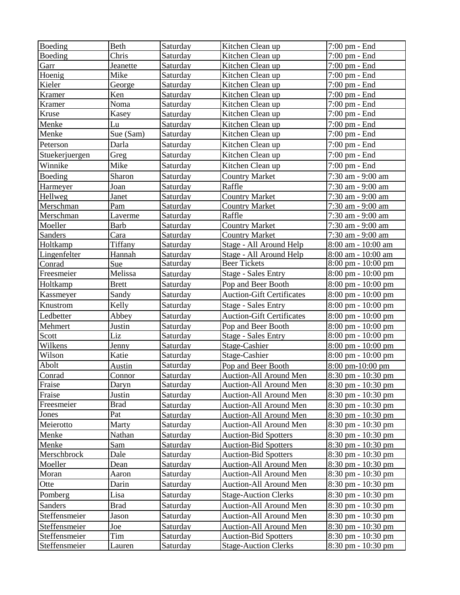| Boeding        | Beth         | Saturday | Kitchen Clean up                 | 7:00 pm - End                        |
|----------------|--------------|----------|----------------------------------|--------------------------------------|
| Boeding        | Chris        | Saturday | Kitchen Clean up                 | 7:00 pm - End                        |
| Garr           | Jeanette     | Saturday | Kitchen Clean up                 | 7:00 pm - End                        |
| Hoenig         | Mike         | Saturday | Kitchen Clean up                 | 7:00 pm - End                        |
| Kieler         | George       | Saturday | Kitchen Clean up                 | 7:00 pm - End                        |
| Kramer         | Ken          | Saturday | Kitchen Clean up                 | 7:00 pm - End                        |
| Kramer         | Noma         | Saturday | Kitchen Clean up                 | 7:00 pm - End                        |
| Kruse          | Kasey        | Saturday | Kitchen Clean up                 | 7:00 pm - End                        |
| Menke          | Lu           | Saturday | Kitchen Clean up                 | 7:00 pm - End                        |
| Menke          | Sue (Sam)    | Saturday | Kitchen Clean up                 | 7:00 pm - End                        |
| Peterson       | Darla        | Saturday | Kitchen Clean up                 | 7:00 pm - End                        |
| Stuekerjuergen | Greg         | Saturday | Kitchen Clean up                 | 7:00 pm - End                        |
| Winnike        | Mike         | Saturday | Kitchen Clean up                 | 7:00 pm - End                        |
| Boeding        | Sharon       | Saturday | <b>Country Market</b>            | 7:30 am - 9:00 am                    |
| Harmeyer       | Joan         | Saturday | Raffle                           | 7:30 am - 9:00 am                    |
| Hellweg        | Janet        | Saturday | <b>Country Market</b>            | 7:30 am - 9:00 am                    |
| Merschman      | Pam          | Saturday | <b>Country Market</b>            | 7:30 am - 9:00 am                    |
| Merschman      | Laverme      | Saturday | Raffle                           | 7:30 am - 9:00 am                    |
| Moeller        | <b>Barb</b>  | Saturday | <b>Country Market</b>            | 7:30 am - 9:00 am                    |
| <b>Sanders</b> | Cara         | Saturday | <b>Country Market</b>            | 7:30 am - 9:00 am                    |
| Holtkamp       | Tiffany      | Saturday | Stage - All Around Help          | 8:00 am - 10:00 am                   |
| Lingenfelter   | Hannah       | Saturday | Stage - All Around Help          | 8:00 am - 10:00 am                   |
| Conrad         | Sue          | Saturday | <b>Beer Tickets</b>              | 8:00 pm - 10:00 pm                   |
| Freesmeier     | Melissa      | Saturday | <b>Stage - Sales Entry</b>       | 8:00 pm - 10:00 pm                   |
| Holtkamp       | <b>Brett</b> | Saturday | Pop and Beer Booth               | 8:00 pm - 10:00 pm                   |
| Kassmeyer      | Sandy        | Saturday | <b>Auction-Gift Certificates</b> | 8:00 pm - 10:00 pm                   |
| Knustrom       | Kelly        | Saturday | <b>Stage - Sales Entry</b>       | 8:00 pm - 10:00 pm                   |
| Ledbetter      | Abbey        | Saturday | <b>Auction-Gift Certificates</b> | 8:00 pm - 10:00 pm                   |
| Mehmert        | Justin       | Saturday | Pop and Beer Booth               | 8:00 pm - 10:00 pm                   |
| Scott          | Liz          | Saturday | <b>Stage - Sales Entry</b>       | 8:00 pm - 10:00 pm                   |
| Wilkens        | Jenny        | Saturday | Stage-Cashier                    | 8:00 pm - 10:00 pm                   |
| Wilson         | Katie        | Saturday | Stage-Cashier                    | 8:00 pm - 10:00 pm                   |
| Abolt          | Austin       | Saturday | Pop and Beer Booth               | 8:00 pm-10:00 pm                     |
| Conrad         | Connor       | Saturdav | Auction-All Around Men           | $8:30 \text{ pm} - 10:30 \text{ pm}$ |
| Fraise         | Daryn        | Saturday | Auction-All Around Men           | 8:30 pm - 10:30 pm                   |
| Fraise         | Justin       | Saturday | Auction-All Around Men           | 8:30 pm - 10:30 pm                   |
| Freesmeier     | <b>Brad</b>  | Saturday | Auction-All Around Men           | $8:30 \text{ pm} - 10:30 \text{ pm}$ |
| Jones          | Pat          | Saturday | <b>Auction-All Around Men</b>    | 8:30 pm - 10:30 pm                   |
| Meierotto      | Marty        | Saturday | Auction-All Around Men           | $8:30 \text{ pm} - 10:30 \text{ pm}$ |
| Menke          | Nathan       | Saturday | <b>Auction-Bid Spotters</b>      | 8:30 pm - 10:30 pm                   |
| Menke          | Sam          | Saturday | <b>Auction-Bid Spotters</b>      | 8:30 pm - 10:30 pm                   |
| Merschbrock    | Dale         | Saturday | <b>Auction-Bid Spotters</b>      | $8:30 \text{ pm} - 10:30 \text{ pm}$ |
| Moeller        | Dean         | Saturday | <b>Auction-All Around Men</b>    | 8:30 pm - 10:30 pm                   |
| Moran          | Aaron        | Saturday | <b>Auction-All Around Men</b>    | 8:30 pm - 10:30 pm                   |
| Otte           | Darin        | Saturday | Auction-All Around Men           | 8:30 pm - 10:30 pm                   |
| Pomberg        | Lisa         | Saturday | <b>Stage-Auction Clerks</b>      | 8:30 pm - 10:30 pm                   |
| Sanders        | Brad         | Saturday | <b>Auction-All Around Men</b>    | 8:30 pm - 10:30 pm                   |
| Steffensmeier  | Jason        | Saturday | Auction-All Around Men           | 8:30 pm - 10:30 pm                   |
| Steffensmeier  | Joe          | Saturday | Auction-All Around Men           | 8:30 pm - 10:30 pm                   |
| Steffensmeier  | Tim          | Saturday | <b>Auction-Bid Spotters</b>      | 8:30 pm - 10:30 pm                   |
| Steffensmeier  | Lauren       | Saturday | <b>Stage-Auction Clerks</b>      | <u>8:30 pm - 10:30 pm</u>            |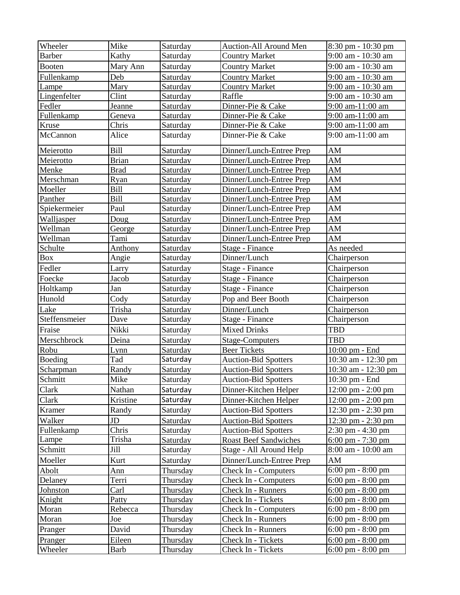| Wheeler       | Mike         | Saturday | Auction-All Around Men       | 8:30 pm - 10:30 pm                   |
|---------------|--------------|----------|------------------------------|--------------------------------------|
| <b>Barber</b> | Kathy        | Saturday | <b>Country Market</b>        | 9:00 am - 10:30 am                   |
| <b>Booten</b> | Mary Ann     | Saturday | <b>Country Market</b>        | 9:00 am - 10:30 am                   |
| Fullenkamp    | Deb          | Saturday | <b>Country Market</b>        | 9:00 am - 10:30 am                   |
| Lampe         | Mary         | Saturday | <b>Country Market</b>        | 9:00 am - 10:30 am                   |
| Lingenfelter  | Clint        | Saturday | Raffle                       | 9:00 am - 10:30 am                   |
| Fedler        | Jeanne       | Saturday | Dinner-Pie & Cake            | 9:00 am-11:00 am                     |
| Fullenkamp    | Geneva       | Saturday | Dinner-Pie & Cake            | 9:00 am-11:00 am                     |
| Kruse         | Chris        | Saturday | Dinner-Pie & Cake            | 9:00 am-11:00 am                     |
| McCannon      | Alice        | Saturday | Dinner-Pie & Cake            | 9:00 am-11:00 am                     |
| Meierotto     | <b>Bill</b>  | Saturday | Dinner/Lunch-Entree Prep     | AM                                   |
| Meierotto     | <b>Brian</b> | Saturday | Dinner/Lunch-Entree Prep     | AM                                   |
| Menke         | <b>Brad</b>  | Saturday | Dinner/Lunch-Entree Prep     | AM                                   |
| Merschman     | Ryan         | Saturday | Dinner/Lunch-Entree Prep     | AM                                   |
| Moeller       | Bill         | Saturday | Dinner/Lunch-Entree Prep     | AM                                   |
| Panther       | <b>Bill</b>  | Saturday | Dinner/Lunch-Entree Prep     | AM                                   |
| Spiekermeier  | Paul         | Saturday | Dinner/Lunch-Entree Prep     | AM                                   |
| Walljasper    | Doug         | Saturday | Dinner/Lunch-Entree Prep     | AM                                   |
| Wellman       | George       | Saturday | Dinner/Lunch-Entree Prep     | $A\underline{M}$                     |
| Wellman       | Tami         | Saturday | Dinner/Lunch-Entree Prep     | AM                                   |
| Schulte       | Anthony      | Saturday | Stage - Finance              | As needed                            |
| Box           | Angie        | Saturday | Dinner/Lunch                 | Chairperson                          |
| Fedler        | Larry        | Saturday | Stage - Finance              | Chairperson                          |
| Foecke        | Jacob        | Saturday | Stage - Finance              | Chairperson                          |
| Holtkamp      | Jan          | Saturday | Stage - Finance              | Chairperson                          |
| Hunold        | Cody         | Saturday | Pop and Beer Booth           | Chairperson                          |
| Lake          | Trisha       | Saturday | Dinner/Lunch                 | Chairperson                          |
| Steffensmeier | Dave         | Saturday | Stage - Finance              | Chairperson                          |
| Fraise        | Nikki        | Saturday | <b>Mixed Drinks</b>          | <b>TBD</b>                           |
| Merschbrock   | Deina        | Saturday | Stage-Computers              | <b>TBD</b>                           |
| Robu          | Lynn         | Saturday | <b>Beer Tickets</b>          | 10:00 pm - End                       |
| Boeding       | Tad          | Saturday | <b>Auction-Bid Spotters</b>  | 10:30 am - 12:30 pm                  |
| Scharpman     | Randy        | Saturday | <b>Auction-Bid Spotters</b>  | 10:30 am - 12:30 pm                  |
| Schmitt       | Mike         | Saturday | <b>Auction-Bid Spotters</b>  | $10:30$ pm - End                     |
| Clark         | Nathan       | Saturday | Dinner-Kitchen Helper        | 12:00 pm - 2:00 pm                   |
| Clark         | Kristine     | Saturday | Dinner-Kitchen Helper        | $12:00 \text{ pm} - 2:00 \text{ pm}$ |
| Kramer        | Randy        | Saturday | <b>Auction-Bid Spotters</b>  | 12:30 pm - 2:30 pm                   |
| Walker        | JD           | Saturday | <b>Auction-Bid Spotters</b>  | 12:30 pm - 2:30 pm                   |
| Fullenkamp    | Chris        | Saturday | <b>Auction-Bid Spotters</b>  | $2:30 \text{ pm} - 4:30 \text{ pm}$  |
| Lampe         | Trisha       | Saturday | <b>Roast Beef Sandwiches</b> | $6:00 \text{ pm} - 7:30 \text{ pm}$  |
| Schmitt       | Jill         | Saturday | Stage - All Around Help      | 8:00 am - 10:00 am                   |
| Moeller       | Kurt         | Saturday | Dinner/Lunch-Entree Prep     | AM                                   |
| Abolt         | Ann          | Thursday | Check In - Computers         | $6:00 \text{ pm} - 8:00 \text{ pm}$  |
| Delaney       | Terri        | Thursday | <b>Check In - Computers</b>  | $6:00 \text{ pm} - 8:00 \text{ pm}$  |
| Johnston      | Carl         | Thursday | Check In - Runners           | $6:00 \text{ pm} - 8:00 \text{ pm}$  |
| Knight        | Patty        | Thursday | Check In - Tickets           | $6:00 \text{ pm} - 8:00 \text{ pm}$  |
| Moran         | Rebecca      | Thursday | <b>Check In - Computers</b>  | $6:00 \text{ pm} - 8:00 \text{ pm}$  |
| Moran         | Joe          | Thursday | Check In - Runners           | $6:00 \text{ pm} - 8:00 \text{ pm}$  |
| Pranger       | David        | Thursday | Check In - Runners           | $6:00 \text{ pm} - 8:00 \text{ pm}$  |
| Pranger       | Eileen       | Thursday | Check In - Tickets           | $6:00 \text{ pm} - 8:00 \text{ pm}$  |
| Wheeler       | <b>Barb</b>  | Thursday | Check In - Tickets           | $6:00 \text{ pm} - 8:00 \text{ pm}$  |
|               |              |          |                              |                                      |